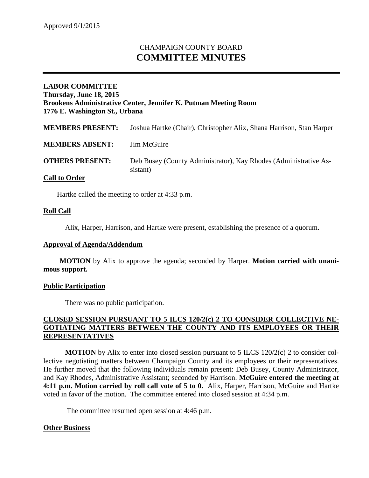# CHAMPAIGN COUNTY BOARD **COMMITTEE MINUTES**

## **LABOR COMMITTEE Thursday, June 18, 2015 Brookens Administrative Center, Jennifer K. Putman Meeting Room 1776 E. Washington St., Urbana**

| <b>MEMBERS PRESENT:</b> | Joshua Hartke (Chair), Christopher Alix, Shana Harrison, Stan Harper         |
|-------------------------|------------------------------------------------------------------------------|
| <b>MEMBERS ABSENT:</b>  | Jim McGuire                                                                  |
| <b>OTHERS PRESENT:</b>  | Deb Busey (County Administrator), Kay Rhodes (Administrative As-<br>sistant) |
| <b>Call to Order</b>    |                                                                              |

Hartke called the meeting to order at 4:33 p.m.

#### **Roll Call**

Alix, Harper, Harrison, and Hartke were present, establishing the presence of a quorum.

#### **Approval of Agenda/Addendum**

**MOTION** by Alix to approve the agenda; seconded by Harper. **Motion carried with unanimous support.**

#### **Public Participation**

There was no public participation.

## **CLOSED SESSION PURSUANT TO 5 ILCS 120/2(c) 2 TO CONSIDER COLLECTIVE NE-GOTIATING MATTERS BETWEEN THE COUNTY AND ITS EMPLOYEES OR THEIR REPRESENTATIVES**

**MOTION** by Alix to enter into closed session pursuant to 5 ILCS 120/2(c) 2 to consider collective negotiating matters between Champaign County and its employees or their representatives. He further moved that the following individuals remain present: Deb Busey, County Administrator, and Kay Rhodes, Administrative Assistant; seconded by Harrison. **McGuire entered the meeting at 4:11 p.m. Motion carried by roll call vote of 5 to 0.** Alix, Harper, Harrison, McGuire and Hartke voted in favor of the motion. The committee entered into closed session at 4:34 p.m.

The committee resumed open session at 4:46 p.m.

## **Other Business**